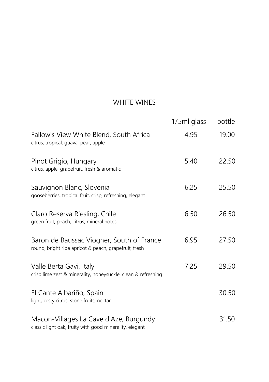### WHITE WINES

|                                                                                                    | 175ml glass | bottle |
|----------------------------------------------------------------------------------------------------|-------------|--------|
| Fallow's View White Blend, South Africa<br>citrus, tropical, guava, pear, apple                    | 4.95        | 19.00  |
| Pinot Grigio, Hungary<br>citrus, apple, grapefruit, fresh & aromatic                               | 5.40        | 22.50  |
| Sauvignon Blanc, Slovenia<br>gooseberries, tropical fruit, crisp, refreshing, elegant              | 6.25        | 25.50  |
| Claro Reserva Riesling, Chile<br>green fruit, peach, citrus, mineral notes                         | 6.50        | 26.50  |
| Baron de Baussac Viogner, South of France<br>round, bright ripe apricot & peach, grapefruit, fresh | 6.95        | 27.50  |
| Valle Berta Gavi, Italy<br>crisp lime zest & minerality, honeysuckle, clean & refreshing           | 7.25        | 29.50  |
| El Cante Albariño, Spain<br>light, zesty citrus, stone fruits, nectar                              |             | 30.50  |
| Macon-Villages La Cave d'Aze, Burgundy<br>classic light oak, fruity with good minerality, elegant  |             | 31.50  |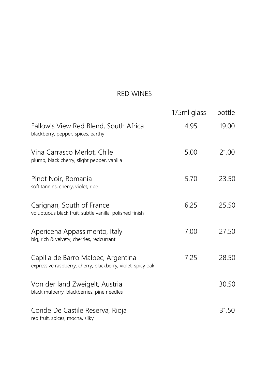### RED WINES

|                                                                                                   | 175ml glass | bottle |
|---------------------------------------------------------------------------------------------------|-------------|--------|
| Fallow's View Red Blend, South Africa<br>blackberry, pepper, spices, earthy                       | 4.95        | 19.00  |
| Vina Carrasco Merlot, Chile<br>plumb, black cherry, slight pepper, vanilla                        | 5.00        | 21.00  |
| Pinot Noir, Romania<br>soft tannins, cherry, violet, ripe                                         | 5.70        | 23.50  |
| Carignan, South of France<br>voluptuous black fruit, subtle vanilla, polished finish              | 6.25        | 25.50  |
| Apericena Appassimento, Italy<br>big, rich & velvety, cherries, redcurrant                        | 7.00        | 27.50  |
| Capilla de Barro Malbec, Argentina<br>expressive raspberry, cherry, blackberry, violet, spicy oak | 7.25        | 28.50  |
| Von der land Zweigelt, Austria<br>black mulberry, blackberries, pine needles                      |             | 30.50  |
| Conde De Castile Reserva, Rioja<br>red fruit, spices, mocha, silky                                |             | 31.50  |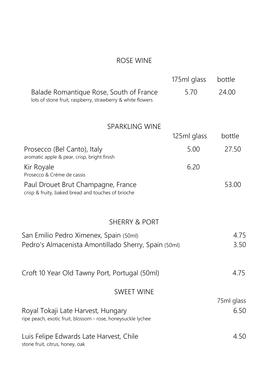#### ROSE WINE

|                                                                                                       | 175ml glass | bottle             |
|-------------------------------------------------------------------------------------------------------|-------------|--------------------|
| Balade Romantique Rose, South of France<br>lots of stone fruit, raspberry, strawberry & white flowers | 5.70        | 24.00              |
| <b>SPARKLING WINE</b>                                                                                 |             |                    |
|                                                                                                       | 125ml glass | bottle             |
| Prosecco (Bel Canto), Italy<br>aromatic apple & pear, crisp, bright finish                            | 5.00        | 27.50              |
| Kir Royale<br>Prosecco & Crème de cassis                                                              | 6.20        |                    |
| Paul Drouet Brut Champagne, France<br>crisp & fruity, baked bread and touches of brioche              |             | 53.00              |
| SHERRY & PORT                                                                                         |             |                    |
| San Emilio Pedro Ximenex, Spain (50ml)<br>Pedro's Almacenista Amontillado Sherry, Spain (50ml)        |             | 4.75<br>3.50       |
| Croft 10 Year Old Tawny Port, Portugal (50ml)                                                         |             | 4.75               |
| <b>SWEET WINE</b>                                                                                     |             |                    |
| Royal Tokaji Late Harvest, Hungary<br>ripe peach, exotic fruit, blossom - rose, honeysuckle lychee    |             | 75ml glass<br>6.50 |
| Luis Felipe Edwards Late Harvest, Chile<br>stone fruit, citrus, honey, oak                            |             | 4.50               |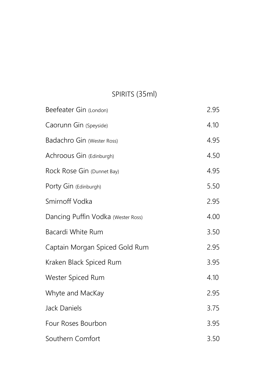## SPIRITS (35ml)

| Beefeater Gin (London)             | 2.95 |
|------------------------------------|------|
| Caorunn Gin (Speyside)             | 4.10 |
| Badachro Gin (Wester Ross)         | 4.95 |
| Achroous Gin (Edinburgh)           | 4.50 |
| Rock Rose Gin (Dunnet Bay)         | 4.95 |
| Porty Gin (Edinburgh)              | 5.50 |
| Smirnoff Vodka                     | 2.95 |
| Dancing Puffin Vodka (Wester Ross) | 4.00 |
| Bacardi White Rum                  | 3.50 |
| Captain Morgan Spiced Gold Rum     | 2.95 |
| Kraken Black Spiced Rum            | 3.95 |
| Wester Spiced Rum                  | 4.10 |
| Whyte and MacKay                   | 2.95 |
| Jack Daniels                       | 3.75 |
| Four Roses Bourbon                 | 3.95 |
| Southern Comfort                   | 3.50 |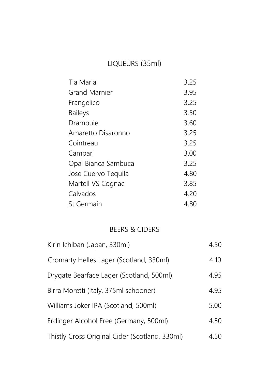## LIQUEURS (35ml)

| Tia Maria            | 3.25 |
|----------------------|------|
| <b>Grand Marnier</b> | 3.95 |
| Frangelico           | 3.25 |
| <b>Baileys</b>       | 3.50 |
| Drambuie             | 3.60 |
| Amaretto Disaronno   | 3.25 |
| Cointreau            | 3.25 |
| Campari              | 3.00 |
| Opal Bianca Sambuca  | 3.25 |
| Jose Cuervo Tequila  | 4.80 |
| Martell VS Cognac    | 3.85 |
| Calvados             | 4.20 |
| St Germain           | 4.80 |

#### BEERS & CIDERS

| Kirin Ichiban (Japan, 330ml)                   | 4.50 |
|------------------------------------------------|------|
| Cromarty Helles Lager (Scotland, 330ml)        | 4.10 |
| Drygate Bearface Lager (Scotland, 500ml)       | 4.95 |
| Birra Moretti (Italy, 375ml schooner)          | 4.95 |
| Williams Joker IPA (Scotland, 500ml)           | 5.00 |
| Erdinger Alcohol Free (Germany, 500ml)         | 4.50 |
| Thistly Cross Original Cider (Scotland, 330ml) | 4.50 |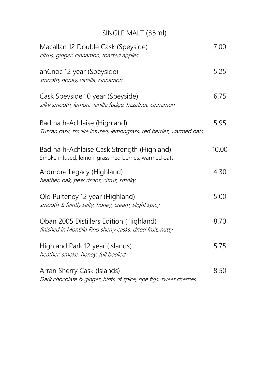# SINGLE MALT (35ml)

| Macallan 12 Double Cask (Speyside)<br>citrus, ginger, cinnamon, toasted apples                        | 7.00  |
|-------------------------------------------------------------------------------------------------------|-------|
| anCnoc 12 year (Speyside)<br>smooth, honey, vanilla, cinnamon                                         | 5.25  |
| Cask Speyside 10 year (Speyside)<br>silky smooth, lemon, vanilla fudge, hazelnut, cinnamon            | 6.75  |
| Bad na h-Achlaise (Highland)<br>Tuscan cask, smoke infused, lemongrass, red berries, warmed oats      | 5.95  |
| Bad na h-Achlaise Cask Strength (Highland)<br>Smoke infused, lemon-grass, red berries, warmed oats    | 10.00 |
| Ardmore Legacy (Highland)<br>heather, oak, pear drops, citrus, smoky                                  | 4.30  |
| Old Pulteney 12 year (Highland)<br>smooth & faintly salty, honey, cream, slight spicy                 | 5.00  |
| Oban 2005 Distillers Edition (Highland)<br>finished in Montilla Fino sherry casks, dried fruit, nutty | 8.70  |
| Highland Park 12 year (Islands)<br>heather, smoke, honey, full bodied                                 | 5.75  |
| Arran Sherry Cask (Islands)<br>Dark chocolate & ginger, hints of spice, ripe figs, sweet cherries     | 8.50  |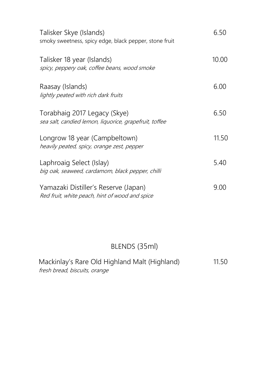| Talisker Skye (Islands)<br>smoky sweetness, spicy edge, black pepper, stone fruit      | 6.50  |
|----------------------------------------------------------------------------------------|-------|
| Talisker 18 year (Islands)<br>spicy, peppery oak, coffee beans, wood smoke             | 10.00 |
| Raasay (Islands)<br>lightly peated with rich dark fruits                               | 6.00  |
| Torabhaig 2017 Legacy (Skye)<br>sea salt, candied lemon, liquorice, grapefruit, toffee | 6.50  |
| Longrow 18 year (Campbeltown)<br>heavily peated, spicy, orange zest, pepper            | 11.50 |
| Laphroaig Select (Islay)<br>big oak, seaweed, cardamom, black pepper, chilli           | 5.40  |
| Yamazaki Distiller's Reserve (Japan)<br>Red fruit, white peach, hint of wood and spice | 9.00  |

## BLENDS (35ml)

| Mackinlay's Rare Old Highland Malt (Highland) | 11.50 |
|-----------------------------------------------|-------|
| fresh bread, biscuits, orange                 |       |